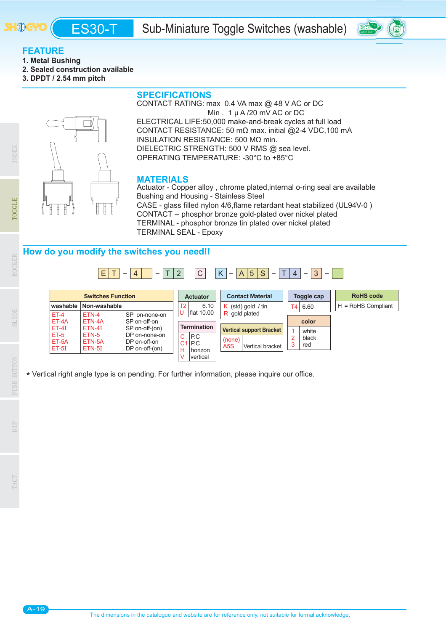

**FEATURE**

- **1. Metal Bushing**
- **2. Sealed construction available**
- **3. DPDT / 2.54 mm pitch**

## **SPECIFICATIONS**

CONTACT RATING: max 0.4 VA max @ 48 V AC or DC Min.  $1 \mu A/20$  mV AC or DC ELECTRICAL LIFE:50,000 make-and-break cycles at full load CONTACT RESISTANCE: 50 m $\Omega$  max. initial @2-4 VDC,100 mA INSULATION RESISTANCE: 500 ΜΩ min. DIELECTRIC STRENGTH: 500 V RMS @ sea level. OPERATING TEMPERATURE: -30°C to +85°C

## **MATERIALS**

Actuator - Copper alloy , chrome plated,internal o-ring seal are available Bushing and Housing - Stainless Steel CASE - glass filled nylon 4/6, flame retardant heat stabilized (UL94V-0) CONTACT -- phosphor bronze gold-plated over nickel plated TERMINAL - phosphor bronze tin plated over nickel plated TERMINAL SEAL - Epoxy

## **How do you modify the switches you need!!**



Vertical right angle type is on pending. For further information, please inquire our office.

ROCKER